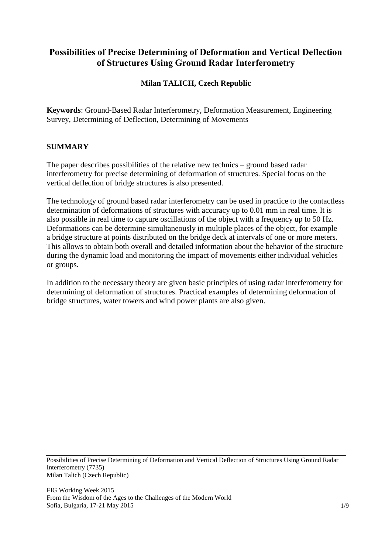# **Possibilities of Precise Determining of Deformation and Vertical Deflection of Structures Using Ground Radar Interferometry**

## **Milan TALICH, Czech Republic**

**Keywords**: Ground-Based Radar Interferometry, Deformation Measurement, Engineering Survey, Determining of Deflection, Determining of Movements

#### **SUMMARY**

The paper describes possibilities of the relative new technics – ground based radar interferometry for precise determining of deformation of structures. Special focus on the vertical deflection of bridge structures is also presented.

The technology of ground based radar interferometry can be used in practice to the contactless determination of deformations of structures with accuracy up to 0.01 mm in real time. It is also possible in real time to capture oscillations of the object with a frequency up to 50 Hz. Deformations can be determine simultaneously in multiple places of the object, for example a bridge structure at points distributed on the bridge deck at intervals of one or more meters. This allows to obtain both overall and detailed information about the behavior of the structure during the dynamic load and monitoring the impact of movements either individual vehicles or groups.

In addition to the necessary theory are given basic principles of using radar interferometry for determining of deformation of structures. Practical examples of determining deformation of bridge structures, water towers and wind power plants are also given.

Possibilities of Precise Determining of Deformation and Vertical Deflection of Structures Using Ground Radar Interferometry (7735) Milan Talich (Czech Republic)

FIG Working Week 2015 From the Wisdom of the Ages to the Challenges of the Modern World Sofia, Bulgaria, 17-21 May 2015 1/9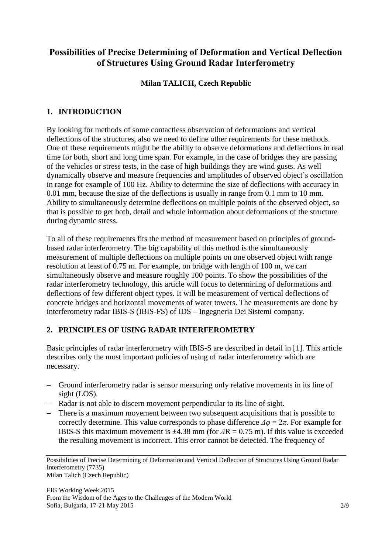# **Possibilities of Precise Determining of Deformation and Vertical Deflection of Structures Using Ground Radar Interferometry**

## **Milan TALICH, Czech Republic**

## **1. INTRODUCTION**

By looking for methods of some contactless observation of deformations and vertical deflections of the structures, also we need to define other requirements for these methods. One of these requirements might be the ability to observe deformations and deflections in real time for both, short and long time span. For example, in the case of bridges they are passing of the vehicles or stress tests, in the case of high buildings they are wind gusts. As well dynamically observe and measure frequencies and amplitudes of observed object's oscillation in range for example of 100 Hz. Ability to determine the size of deflections with accuracy in 0.01 mm, because the size of the deflections is usually in range from 0.1 mm to 10 mm. Ability to simultaneously determine deflections on multiple points of the observed object, so that is possible to get both, detail and whole information about deformations of the structure during dynamic stress.

To all of these requirements fits the method of measurement based on principles of groundbased radar interferometry. The big capability of this method is the simultaneously measurement of multiple deflections on multiple points on one observed object with range resolution at least of 0.75 m. For example, on bridge with length of 100 m, we can simultaneously observe and measure roughly 100 points. To show the possibilities of the radar interferometry technology, this article will focus to determining of deformations and deflections of few different object types. It will be measurement of vertical deflections of concrete bridges and horizontal movements of water towers. The measurements are done by interferometry radar IBIS-S (IBIS-FS) of IDS – Ingegneria Dei Sistemi company.

# **2. PRINCIPLES OF USING RADAR INTERFEROMETRY**

Basic principles of radar interferometry with IBIS-S are described in detail in [1]. This article describes only the most important policies of using of radar interferometry which are necessary.

- Ground interferometry radar is sensor measuring only relative movements in its line of sight (LOS).
- Radar is not able to discern movement perpendicular to its line of sight.
- There is a maximum movement between two subsequent acquisitions that is possible to correctly determine. This value corresponds to phase difference  $\Delta \varphi = 2\pi$ . For example for IBIS-S this maximum movement is  $\pm 4.38$  mm (for  $\Delta R = 0.75$  m). If this value is exceeded the resulting movement is incorrect. This error cannot be detected. The frequency of

Possibilities of Precise Determining of Deformation and Vertical Deflection of Structures Using Ground Radar Interferometry (7735) Milan Talich (Czech Republic)

FIG Working Week 2015 From the Wisdom of the Ages to the Challenges of the Modern World Sofia, Bulgaria, 17-21 May 2015 2/9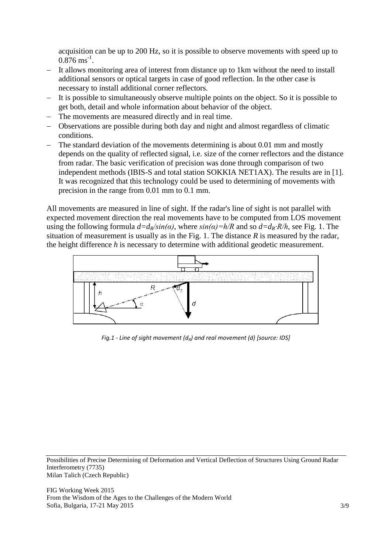acquisition can be up to 200 Hz, so it is possible to observe movements with speed up to  $0.876 \text{ ms}^{-1}$ .

- It allows monitoring area of interest from distance up to 1km without the need to install additional sensors or optical targets in case of good reflection. In the other case is necessary to install additional corner reflectors.
- It is possible to simultaneously observe multiple points on the object. So it is possible to get both, detail and whole information about behavior of the object.
- The movements are measured directly and in real time.
- Observations are possible during both day and night and almost regardless of climatic conditions.
- The standard deviation of the movements determining is about 0.01 mm and mostly depends on the quality of reflected signal, i.e. size of the corner reflectors and the distance from radar. The basic verification of precision was done through comparison of two independent methods (IBIS-S and total station SOKKIA NET1AX). The results are in [1]. It was recognized that this technology could be used to determining of movements with precision in the range from 0.01 mm to 0.1 mm.

All movements are measured in line of sight. If the radar's line of sight is not parallel with expected movement direction the real movements have to be computed from LOS movement using the following formula  $d=d_R/sin(\alpha)$ , where  $sin(\alpha)=h/R$  and so  $d=d_R \cdot R/h$ , see Fig. 1. The situation of measurement is usually as in the Fig. 1. The distance *R* is measured by the radar, the height difference *h* is necessary to determine with additional geodetic measurement.



*Fig.1 - Line of sight movement (dR) and real movement (d) [source: IDS]*

Possibilities of Precise Determining of Deformation and Vertical Deflection of Structures Using Ground Radar Interferometry (7735) Milan Talich (Czech Republic)

FIG Working Week 2015 From the Wisdom of the Ages to the Challenges of the Modern World Sofia, Bulgaria, 17-21 May 2015 3/9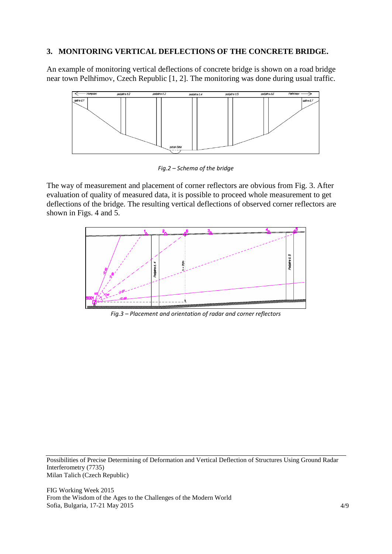#### **3. MONITORING VERTICAL DEFLECTIONS OF THE CONCRETE BRIDGE.**

An example of monitoring vertical deflections of concrete bridge is shown on a road bridge near town Pelhřimov, Czech Republic [1, 2]. The monitoring was done during usual traffic.



*Fig.2 – Schema of the bridge*

The way of measurement and placement of corner reflectors are obvious from Fig. 3. After evaluation of quality of measured data, it is possible to proceed whole measurement to get deflections of the bridge. The resulting vertical deflections of observed corner reflectors are shown in Figs. 4 and 5.



*Fig.3 – Placement and orientation of radar and corner reflectors*

Possibilities of Precise Determining of Deformation and Vertical Deflection of Structures Using Ground Radar Interferometry (7735) Milan Talich (Czech Republic)

FIG Working Week 2015 From the Wisdom of the Ages to the Challenges of the Modern World Sofia, Bulgaria, 17-21 May 2015 4/9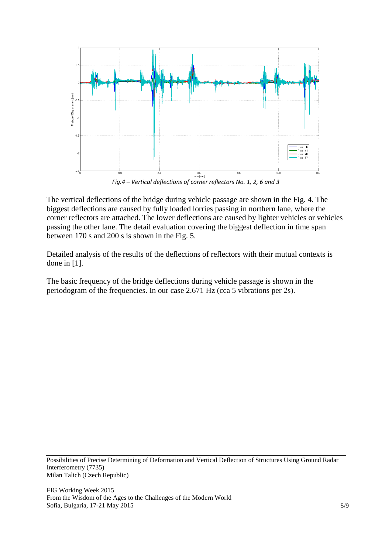

*Fig.4 – Vertical deflections of corner reflectors No. 1, 2, 6 and 3*

The vertical deflections of the bridge during vehicle passage are shown in the Fig. 4. The biggest deflections are caused by fully loaded lorries passing in northern lane, where the corner reflectors are attached. The lower deflections are caused by lighter vehicles or vehicles passing the other lane. The detail evaluation covering the biggest deflection in time span between 170 s and 200 s is shown in the Fig. 5.

Detailed analysis of the results of the deflections of reflectors with their mutual contexts is done in [1].

The basic frequency of the bridge deflections during vehicle passage is shown in the periodogram of the frequencies. In our case 2.671 Hz (cca 5 vibrations per 2s).

Possibilities of Precise Determining of Deformation and Vertical Deflection of Structures Using Ground Radar Interferometry (7735) Milan Talich (Czech Republic)

FIG Working Week 2015 From the Wisdom of the Ages to the Challenges of the Modern World Sofia, Bulgaria, 17-21 May 2015  $5/9$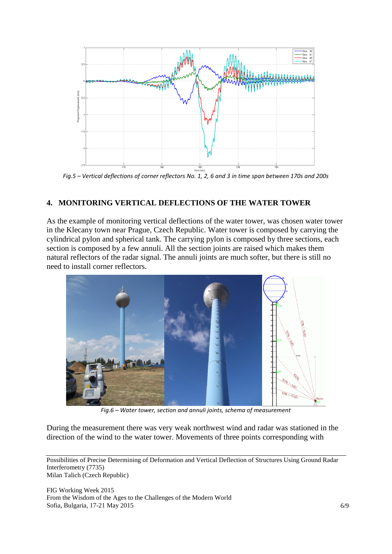

*Fig.5 – Vertical deflections of corner reflectors No. 1, 2, 6 and 3 in time span between 170s and 200s*

#### **4. MONITORING VERTICAL DEFLECTIONS OF THE WATER TOWER**

As the example of monitoring vertical deflections of the water tower, was chosen water tower in the Klecany town near Prague, Czech Republic. Water tower is composed by carrying the cylindrical pylon and spherical tank. The carrying pylon is composed by three sections, each section is composed by a few annuli. All the section joints are raised which makes them natural reflectors of the radar signal. The annuli joints are much softer, but there is still no need to install corner reflectors.



*Fig.6 – Water tower, section and annuli joints, schema of measurement*

During the measurement there was very weak northwest wind and radar was stationed in the direction of the wind to the water tower. Movements of three points corresponding with

Possibilities of Precise Determining of Deformation and Vertical Deflection of Structures Using Ground Radar Interferometry (7735)

Milan Talich (Czech Republic)

FIG Working Week 2015 From the Wisdom of the Ages to the Challenges of the Modern World Sofia, Bulgaria, 17-21 May 2015 6/9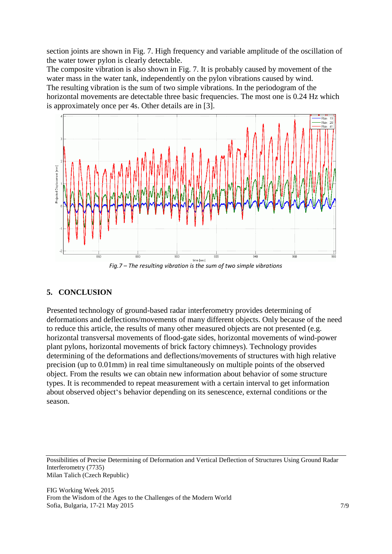section joints are shown in Fig. 7. High frequency and variable amplitude of the oscillation of the water tower pylon is clearly detectable.

The composite vibration is also shown in Fig. 7. It is probably caused by movement of the water mass in the water tank, independently on the pylon vibrations caused by wind. The resulting vibration is the sum of two simple vibrations. In the periodogram of the horizontal movements are detectable three basic frequencies. The most one is 0.24 Hz which is approximately once per 4s. Other details are in [3].



*Fig.7 – The resulting vibration is the sum of two simple vibrations*

### **5. CONCLUSION**

Presented technology of ground-based radar interferometry provides determining of deformations and deflections/movements of many different objects. Only because of the need to reduce this article, the results of many other measured objects are not presented (e.g. horizontal transversal movements of flood-gate sides, horizontal movements of wind-power plant pylons, horizontal movements of brick factory chimneys). Technology provides determining of the deformations and deflections/movements of structures with high relative precision (up to 0.01mm) in real time simultaneously on multiple points of the observed object. From the results we can obtain new information about behavior of some structure types. It is recommended to repeat measurement with a certain interval to get information about observed object's behavior depending on its senescence, external conditions or the season.

Possibilities of Precise Determining of Deformation and Vertical Deflection of Structures Using Ground Radar Interferometry (7735) Milan Talich (Czech Republic)

FIG Working Week 2015 From the Wisdom of the Ages to the Challenges of the Modern World Sofia, Bulgaria, 17-21 May 2015 7/9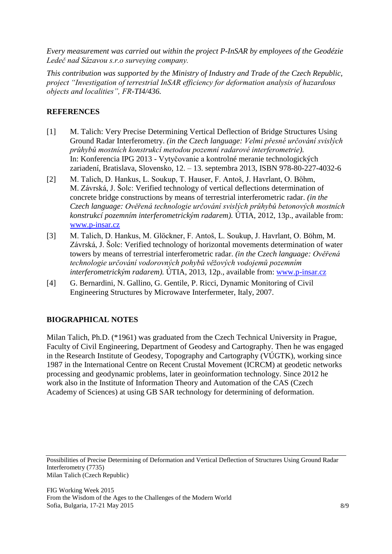*Every measurement was carried out within the project P-InSAR by employees of the Geodézie Ledeč nad Sázavou s.r.o surveying company.*

*This contribution was supported by the Ministry of Industry and Trade of the Czech Republic, project "Investigation of terrestrial InSAR efficiency for deformation analysis of hazardous objects and localities", FR-TI4/436.*

## **REFERENCES**

- [1] M. Talich: Very Precise Determining Vertical Deflection of Bridge Structures Using Ground Radar Interferometry. *(in the Czech language: Velmi přesné určování svislých průhybů mostních konstrukcí metodou pozemní radarové interferometrie).* In: Konferencia IPG 2013 - Vytyčovanie a kontrolné meranie technologických zariadení, Bratislava, Slovensko, 12. – 13. septembra 2013, ISBN 978-80-227-4032-6
- [2] M. Talich, D. Hankus, L. Soukup, T. Hauser, F. Antoš, J. Havrlant, O. Böhm, M. Závrská, J. Šolc: Verified technology of vertical deflections determination of concrete bridge constructions by means of terrestrial interferometric radar. *(in the Czech language: Ověřená technologie určování svislých průhybů betonových mostních konstrukcí pozemním interferometrickým radarem).* ÚTIA, 2012, 13p., available from: [www.p-insar.cz](http://www.p-insar.cz/)
- [3] M. Talich, D. Hankus, M. Glöckner, F. Antoš, L. Soukup, J. Havrlant, O. Böhm, M. Závrská, J. Šolc: Verified technology of horizontal movements determination of water towers by means of terrestrial interferometric radar. *(in the Czech language: Ověřená technologie určování vodorovných pohybů věžových vodojemů pozemním interferometrickým radarem).* ÚTIA, 2013, 12p., available from: [www.p-insar.cz](http://www.p-insar.cz/)
- [4] G. Bernardini, N. Gallino, G. Gentile, P. Ricci, Dynamic Monitoring of Civil Engineering Structures by Microwave Interfermeter, Italy, 2007.

# **BIOGRAPHICAL NOTES**

Milan Talich, Ph.D. (\*1961) was graduated from the Czech Technical University in Prague, Faculty of Civil Engineering, Department of Geodesy and Cartography. Then he was engaged in the Research Institute of Geodesy, Topography and Cartography (VÚGTK), working since 1987 in the International Centre on Recent Crustal Movement (ICRCM) at geodetic networks processing and geodynamic problems, later in geoinformation technology. Since 2012 he work also in the Institute of Information Theory and Automation of the CAS (Czech Academy of Sciences) at using GB SAR technology for determining of deformation.

Possibilities of Precise Determining of Deformation and Vertical Deflection of Structures Using Ground Radar Interferometry (7735) Milan Talich (Czech Republic)

FIG Working Week 2015 From the Wisdom of the Ages to the Challenges of the Modern World Sofia, Bulgaria, 17-21 May 2015 8/9